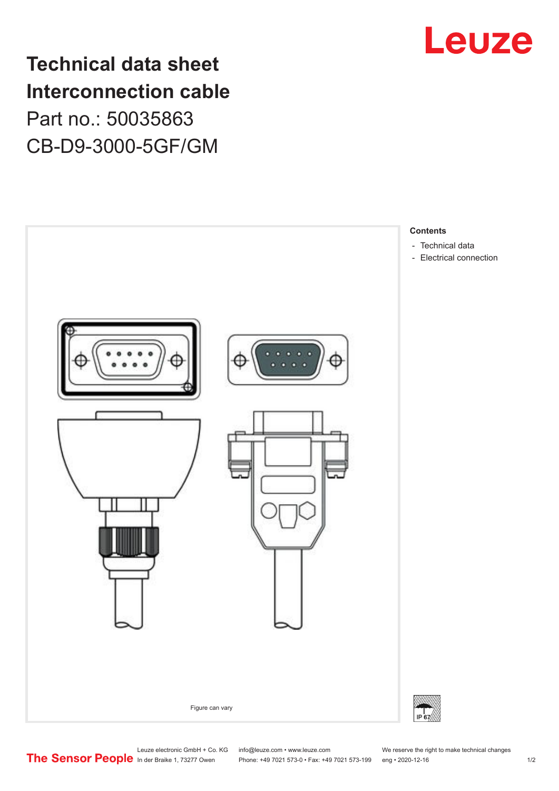## **Technical data sheet Interconnection cable** Part no.: 50035863 CB-D9-3000-5GF/GM





Leuze electronic GmbH + Co. KG info@leuze.com • www.leuze.com We reserve the right to make technical changes<br>
The Sensor People in der Braike 1, 73277 Owen Phone: +49 7021 573-0 • Fax: +49 7021 573-199 eng • 2020-12-16

Phone: +49 7021 573-0 • Fax: +49 7021 573-199 eng • 2020-12-16